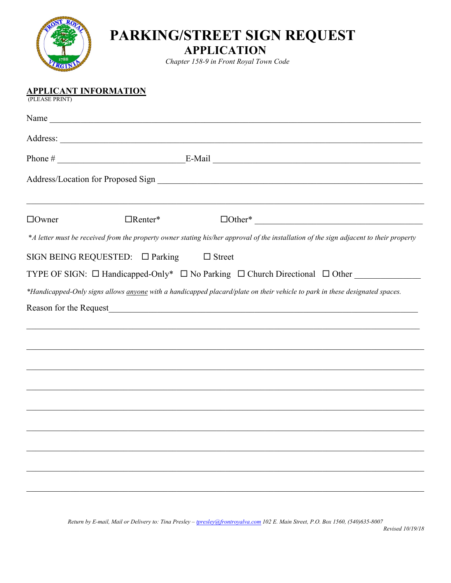

## **PARKING/STREET SIGN REQUEST**

**APPLICATION**

*Chapter 158-9 in Front Royal Town Code*

(PLEASE PRINT)

| $\Box$ Owner | $\Box$ Renter*                       |                                                                                                                                                                               |  |
|--------------|--------------------------------------|-------------------------------------------------------------------------------------------------------------------------------------------------------------------------------|--|
|              |                                      | *A letter must be received from the property owner stating his/her approval of the installation of the sign adjacent to their property                                        |  |
|              | SIGN BEING REQUESTED: $\Box$ Parking | $\Box$ Street                                                                                                                                                                 |  |
|              |                                      | TYPE OF SIGN: □ Handicapped-Only* □ No Parking □ Church Directional □ Other ____________                                                                                      |  |
|              |                                      | *Handicapped-Only signs allows <i>anyone</i> with a handicapped placard/plate on their vehicle to park in these designated spaces.                                            |  |
|              |                                      | Reason for the Request<br><u>Example</u> 2021<br>1991<br>2022<br>2022<br>2023<br>2023<br>2023<br>2023<br>2023<br>2023<br>2023<br>2023<br>2023<br>2023<br>2023<br>2023<br>2023 |  |
|              |                                      |                                                                                                                                                                               |  |
|              |                                      |                                                                                                                                                                               |  |
|              |                                      |                                                                                                                                                                               |  |
|              |                                      |                                                                                                                                                                               |  |
|              |                                      |                                                                                                                                                                               |  |
|              |                                      |                                                                                                                                                                               |  |
|              |                                      |                                                                                                                                                                               |  |
|              |                                      |                                                                                                                                                                               |  |
|              |                                      |                                                                                                                                                                               |  |
|              |                                      |                                                                                                                                                                               |  |
|              |                                      |                                                                                                                                                                               |  |